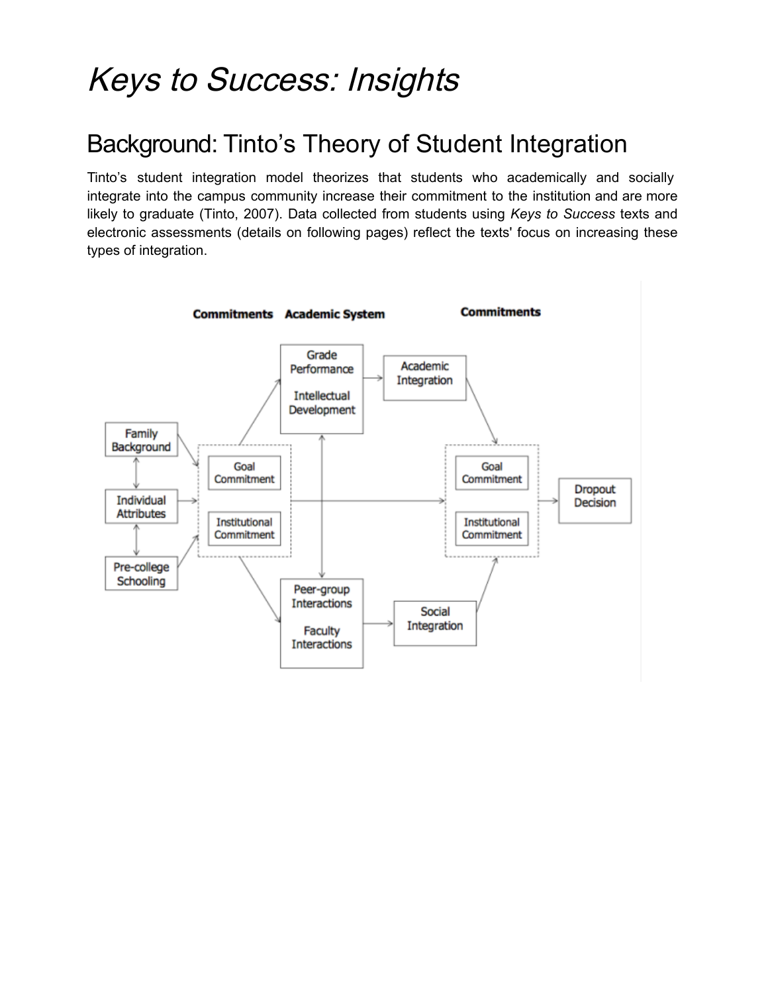## Keys to Success: Insights

## Background: Tinto's Theory of Student Integration

Tinto's student integration model theorizes that students who academically and socially integrate into the campus community increase their commitment to the institution and are more likely to graduate (Tinto, 2007). Data collected from students using *Keys to Success* texts and electronic assessments (details on following pages) reflect the texts' focus on increasing these types of integration.

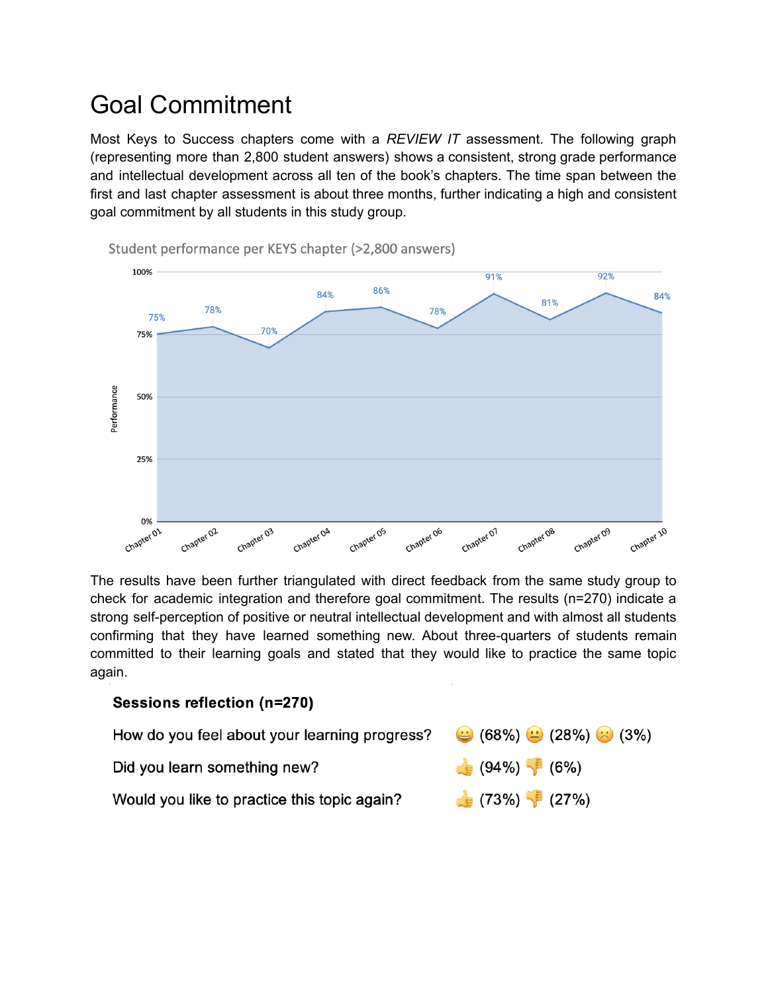## Goal Commitment

Most Keys to Success chapters come with a *REVIEW IT* assessment. The following graph (representing more than 2,800 student answers) shows a consistent, strong grade performance and intellectual development across all ten of the book's chapters. The time span between the first and last chapter assessment is about three months, further indicating a high and consistent goal commitment by all students in this study group.



Student performance per KEYS chapter (>2,800 answers)

The results have been further triangulated with direct feedback from the same study group to check for academic integration and therefore goal commitment. The results (n=270) indicate a strong self-perception of positive or neutral intellectual development and with almost all students confirming that they have learned something new. About three-quarters of students remain committed to their learning goals and stated that they would like to practice the same topic again.